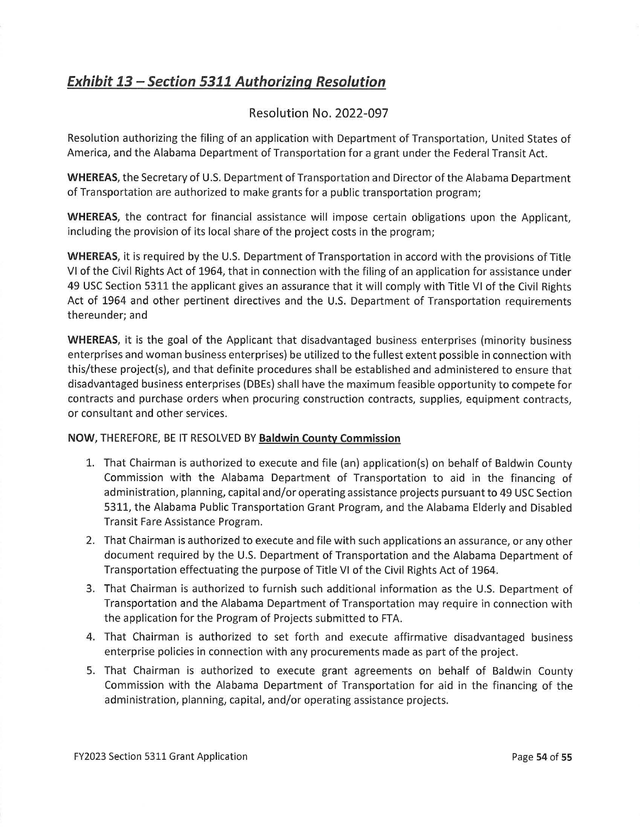## **Exhibit 13 - Section 5311 Authorizing Resolution**

## Resolution No. 2022-097

Resolution authorizing the filing of an application with Department of Transportation, United States of America, and the Alabama Department of Transportation for a grant under the Federal Transit Act.

**WHEREAS,** the Secretary of U.S. Department of Transportation and Director of the Alabama Department of Transportation are authorized to make grants for a public transportation program;

**WHEREAS,** the contract for financial assistance will impose certain obligations upon the Applicant, including the provision of its local share of the project costs in the program;

**WHEREAS,** it is required by the U.S. Department of Transportation in accord with the provisions of Title VI of the Civil Rights Act of 1964, that in connection with the filing of an application for assistance under 49 USC Section 5311 the applicant gives an assurance that it will comply with Title VI of the Civil Rights Act of 1964 and other pertinent directives and the U.S. Department of Transportation requirements thereunder; and

**WHEREAS,** it is the goal of the Applicant that disadvantaged business enterprises (minority business enterprises and woman business enterprises) be utilized to the fullest extent possible in connection with this/these project(s), and that definite procedures shall be established and administered to ensure that disadvantaged business enterprises (DBEs) shall have the maximum feasible opportunity to compete for contracts and purchase orders when procuring construction contracts, supplies, equipment contracts, or consultant and other services.

## **NOW,** THEREFORE, BE IT RESOLVED BY **Baldwin County Commission**

- 1. That Chairman is authorized to execute and file (an) application(s) on behalf of Baldwin County Commission with the Alabama Department of Transportation to aid in the financing of administration, planning, capital and/or operating assistance projects pursuant to 49 USC Section 5311, the Alabama Public Transportation Grant Program, and the Alabama Elderly and Disabled Transit Fare Assistance Program.
- 2. That Chairman is authorized to execute and file with such applications an assurance, or any other document required by the U.S. Department of Transportation and the Alabama Department of Transportation effectuating the purpose of Title VI of the Civil Rights Act of 1964.
- 3. That Chairman is authorized to furnish such additional information as the U.S. Department of Transportation and the Alabama Department of Transportation may require in connection with the application for the Program of Projects submitted to FTA.
- 4. That Chairman is authorized to set forth and execute affirmative disadvantaged business enterprise policies in connection with any procurements made as part of the project.
- 5. That Chairman is authorized to execute grant agreements on behalf of Baldwin County Commission with the Alabama Department of Transportation for aid in the financing of the administration, planning, capital, and/or operating assistance projects.